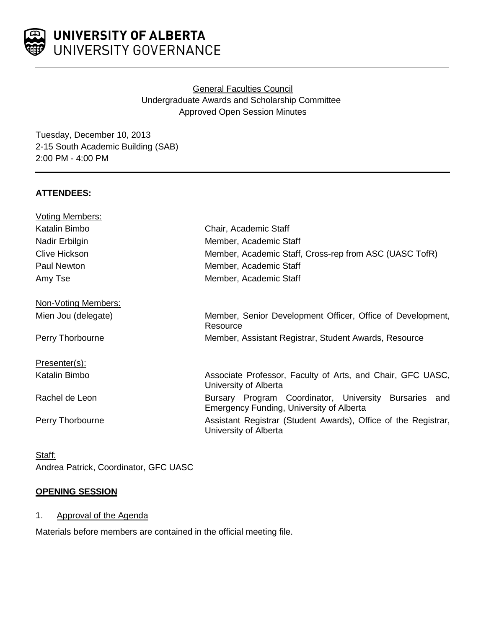

# General Faculties Council Undergraduate Awards and Scholarship Committee Approved Open Session Minutes

Tuesday, December 10, 2013 2-15 South Academic Building (SAB) 2:00 PM - 4:00 PM

## **ATTENDEES:**

| <b>Voting Members:</b> |                                                                                                             |
|------------------------|-------------------------------------------------------------------------------------------------------------|
| Katalin Bimbo          | Chair, Academic Staff                                                                                       |
| Nadir Erbilgin         | Member, Academic Staff                                                                                      |
| <b>Clive Hickson</b>   | Member, Academic Staff, Cross-rep from ASC (UASC TofR)                                                      |
| Paul Newton            | Member, Academic Staff                                                                                      |
| Amy Tse                | Member, Academic Staff                                                                                      |
| Non-Voting Members:    |                                                                                                             |
| Mien Jou (delegate)    | Member, Senior Development Officer, Office of Development,<br>Resource                                      |
| Perry Thorbourne       | Member, Assistant Registrar, Student Awards, Resource                                                       |
| Presenter(s):          |                                                                                                             |
| Katalin Bimbo          | Associate Professor, Faculty of Arts, and Chair, GFC UASC,<br>University of Alberta                         |
| Rachel de Leon         | Bursary Program Coordinator, University Bursaries<br>and<br><b>Emergency Funding, University of Alberta</b> |
| Perry Thorbourne       | Assistant Registrar (Student Awards), Office of the Registrar,<br>University of Alberta                     |
|                        |                                                                                                             |

Staff: Andrea Patrick, Coordinator, GFC UASC

### **OPENING SESSION**

1. Approval of the Agenda

Materials before members are contained in the official meeting file.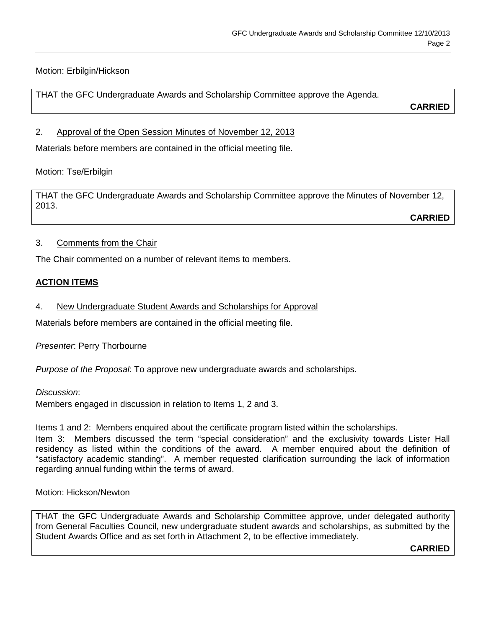## Motion: Erbilgin/Hickson

THAT the GFC Undergraduate Awards and Scholarship Committee approve the Agenda.

**CARRIED**

### 2. Approval of the Open Session Minutes of November 12, 2013

Materials before members are contained in the official meeting file.

### Motion: Tse/Erbilgin

THAT the GFC Undergraduate Awards and Scholarship Committee approve the Minutes of November 12, 2013.

**CARRIED**

### 3. Comments from the Chair

The Chair commented on a number of relevant items to members.

### **ACTION ITEMS**

4. New Undergraduate Student Awards and Scholarships for Approval

Materials before members are contained in the official meeting file.

*Presenter*: Perry Thorbourne

*Purpose of the Proposal*: To approve new undergraduate awards and scholarships.

#### *Discussion*:

Members engaged in discussion in relation to Items 1, 2 and 3.

Items 1 and 2: Members enquired about the certificate program listed within the scholarships.

Item 3: Members discussed the term "special consideration" and the exclusivity towards Lister Hall residency as listed within the conditions of the award. A member enquired about the definition of "satisfactory academic standing". A member requested clarification surrounding the lack of information regarding annual funding within the terms of award.

Motion: Hickson/Newton

THAT the GFC Undergraduate Awards and Scholarship Committee approve, under delegated authority from General Faculties Council, new undergraduate student awards and scholarships, as submitted by the Student Awards Office and as set forth in Attachment 2, to be effective immediately.

**CARRIED**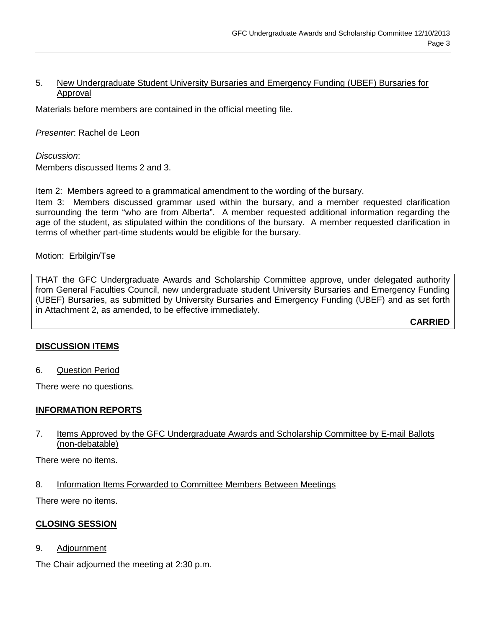#### 5. New Undergraduate Student University Bursaries and Emergency Funding (UBEF) Bursaries for Approval

Materials before members are contained in the official meeting file.

*Presenter*: Rachel de Leon

*Discussion*: Members discussed Items 2 and 3.

Item 2: Members agreed to a grammatical amendment to the wording of the bursary.

Item 3: Members discussed grammar used within the bursary, and a member requested clarification surrounding the term "who are from Alberta". A member requested additional information regarding the age of the student, as stipulated within the conditions of the bursary. A member requested clarification in terms of whether part-time students would be eligible for the bursary.

Motion: Erbilgin/Tse

THAT the GFC Undergraduate Awards and Scholarship Committee approve, under delegated authority from General Faculties Council, new undergraduate student University Bursaries and Emergency Funding (UBEF) Bursaries, as submitted by University Bursaries and Emergency Funding (UBEF) and as set forth in Attachment 2, as amended, to be effective immediately.

**CARRIED**

#### **DISCUSSION ITEMS**

6. Question Period

There were no questions.

### **INFORMATION REPORTS**

### 7. Items Approved by the GFC Undergraduate Awards and Scholarship Committee by E-mail Ballots (non-debatable)

There were no items.

8. Information Items Forwarded to Committee Members Between Meetings

There were no items.

#### **CLOSING SESSION**

9. Adjournment

The Chair adjourned the meeting at 2:30 p.m.